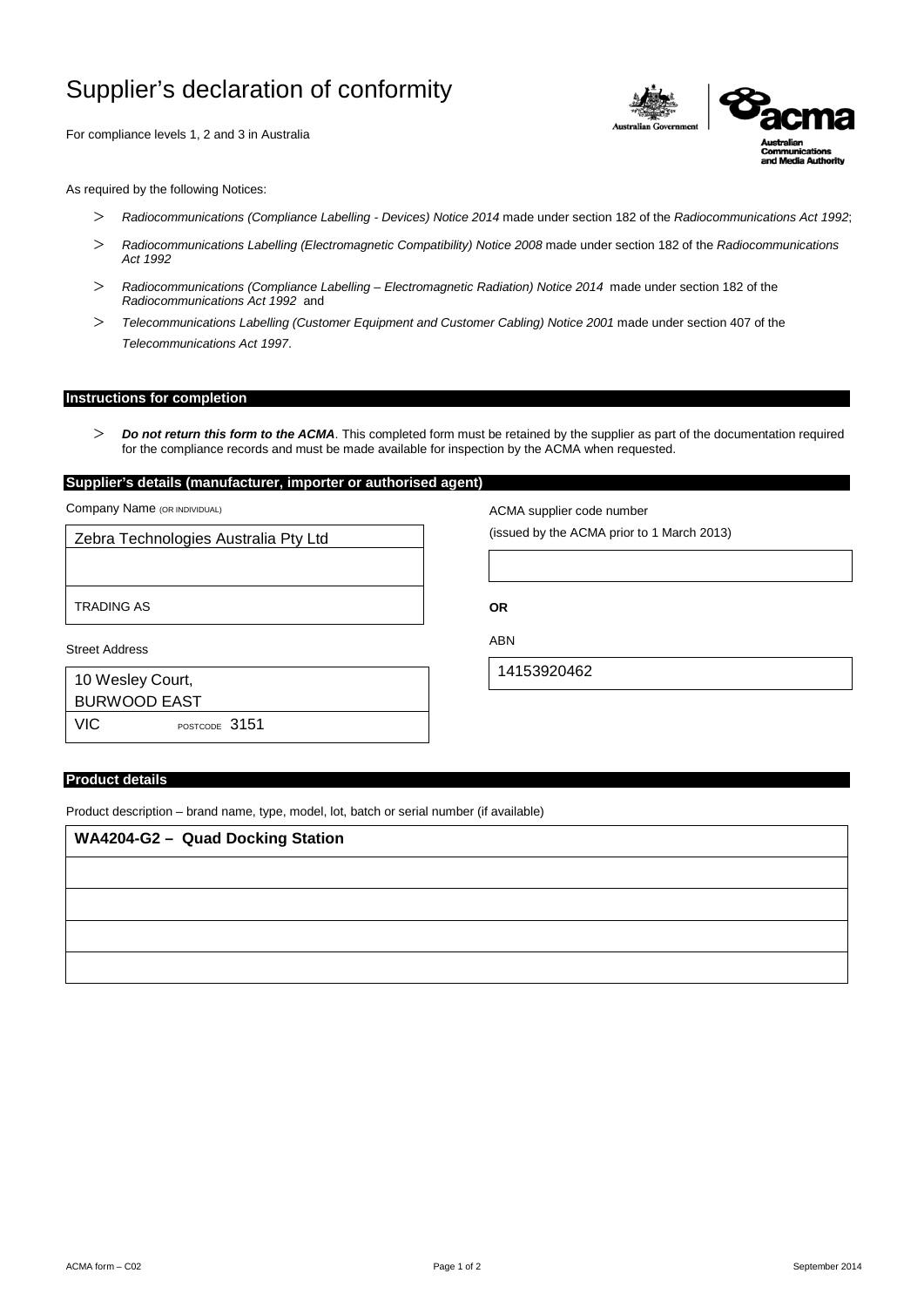# Supplier's declaration of conformity

For compliance levels 1, 2 and 3 in Australia



As required by the following Notices:

- > *Radiocommunications (Compliance Labelling - Devices) Notice 2014* made under section 182 of the *Radiocommunications Act 1992*;
- > *Radiocommunications Labelling (Electromagnetic Compatibility) Notice 2008* made under section 182 of the *Radiocommunications Act 1992*
- > *Radiocommunications (Compliance Labelling – Electromagnetic Radiation) Notice 2014* made under section 182 of the *Radiocommunications Act 1992* and
- > *Telecommunications Labelling (Customer Equipment and Customer Cabling) Notice 2001* made under section 407 of the *Telecommunications Act 1997*.

# **Instructions for completion**

> *Do not return this form to the ACMA*. This completed form must be retained by the supplier as part of the documentation required for the compliance records and must be made available for inspection by the ACMA when requested.

### **Supplier's details (manufacturer, importer or authorised agent)**

Company Name (OR INDIVIDUAL)

| Zebra Technologies Australia Pty Ltd |
|--------------------------------------|
|                                      |
|                                      |
| <b>TRADING AS</b>                    |
|                                      |
| Street Address                       |
| 10 Wesley Court,                     |
| <b>BURWOOD EAST</b>                  |

ACMA supplier code number

(issued by the ACMA prior to 1 March 2013)

**OR**

ABN

14153920462

#### **Product details**

VIC POSTCODE 3151

Product description – brand name, type, model, lot, batch or serial number (if available)

| <b>WA4204-G2 - Quad Docking Station</b> |
|-----------------------------------------|
|                                         |
|                                         |
|                                         |
|                                         |